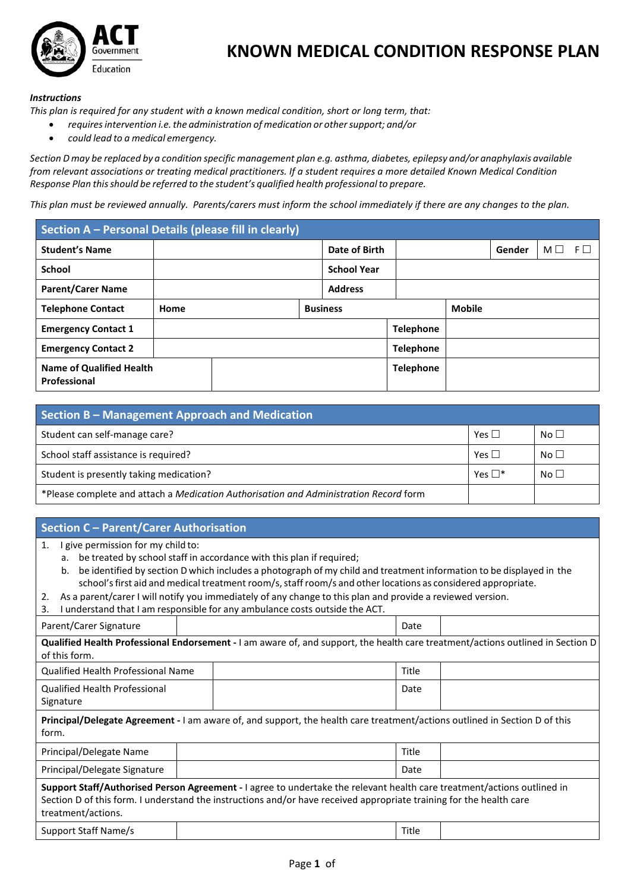

## **KNOWN MEDICAL CONDITION RESPONSE PLAN**

## *Instructions*

*This plan is required for any student with a known medical condition, short or long term, that:*

- *requiresintervention i.e.the administration of medication or othersupport; and/or*
- *could lead to a medical emergency.*

Section D may be replaced by a condition specific management plan e.g. asthma, diabetes, epilepsy and/or anaphylaxis available *from relevant associations or treating medical practitioners. If a student requires a more detailed Known Medical Condition Response Plan thisshould be referred to the student's qualified health professionalto prepare.*

*This plan must be reviewed annually. Parents/carers must inform the school immediately if there are any changes to the plan.*

| Section A - Personal Details (please fill in clearly) |      |  |                 |                    |                  |  |        |          |          |
|-------------------------------------------------------|------|--|-----------------|--------------------|------------------|--|--------|----------|----------|
| <b>Student's Name</b>                                 |      |  |                 | Date of Birth      |                  |  | Gender | $M \Box$ | $F \Box$ |
| <b>School</b>                                         |      |  |                 | <b>School Year</b> |                  |  |        |          |          |
| <b>Parent/Carer Name</b>                              |      |  |                 | <b>Address</b>     |                  |  |        |          |          |
| <b>Telephone Contact</b>                              | Home |  | <b>Business</b> |                    | <b>Mobile</b>    |  |        |          |          |
| <b>Emergency Contact 1</b>                            |      |  |                 |                    | <b>Telephone</b> |  |        |          |          |
| <b>Emergency Contact 2</b>                            |      |  |                 |                    | <b>Telephone</b> |  |        |          |          |
| <b>Name of Qualified Health</b><br>Professional       |      |  |                 |                    | <b>Telephone</b> |  |        |          |          |

| Section B - Management Approach and Medication                                        |              |                 |  |  |  |
|---------------------------------------------------------------------------------------|--------------|-----------------|--|--|--|
| Student can self-manage care?                                                         | Yes $\Box$   | No <sub>1</sub> |  |  |  |
| School staff assistance is required?                                                  | Yes $\Box$   | No <sub>1</sub> |  |  |  |
| Student is presently taking medication?                                               | Yes $\Box^*$ | No <sub>1</sub> |  |  |  |
| *Please complete and attach a Medication Authorisation and Administration Record form |              |                 |  |  |  |

## **Section C – Parent/Carer Authorisation**

- 1. I give permission for my child to:
	- a. be treated by school staff in accordance with this plan if required;
	- b. be identified by section D which includes a photograph of my child and treatment information to be displayed in the school's first aid and medical treatment room/s, staff room/s and other locations as considered appropriate.
- 2. As a parent/carer I will notify you immediately of any change to this plan and provide a reviewed version.
- 3. I understand that I am responsible for any ambulance costs outside the ACT.

| Parent/Carer Signature                            |                                                                                                                                                                                                                                                | Date  |  |
|---------------------------------------------------|------------------------------------------------------------------------------------------------------------------------------------------------------------------------------------------------------------------------------------------------|-------|--|
| of this form.                                     | Qualified Health Professional Endorsement - I am aware of, and support, the health care treatment/actions outlined in Section D                                                                                                                |       |  |
| Qualified Health Professional Name                |                                                                                                                                                                                                                                                | Title |  |
| <b>Qualified Health Professional</b><br>Signature |                                                                                                                                                                                                                                                | Date  |  |
| form.                                             | <b>Principal/Delegate Agreement</b> - I am aware of, and support, the health care treatment/actions outlined in Section D of this                                                                                                              |       |  |
| Principal/Delegate Name                           |                                                                                                                                                                                                                                                | Title |  |
| Principal/Delegate Signature                      |                                                                                                                                                                                                                                                | Date  |  |
| treatment/actions.                                | Support Staff/Authorised Person Agreement - I agree to undertake the relevant health care treatment/actions outlined in<br>Section D of this form. I understand the instructions and/or have received appropriate training for the health care |       |  |
| Support Staff Name/s                              |                                                                                                                                                                                                                                                | Title |  |